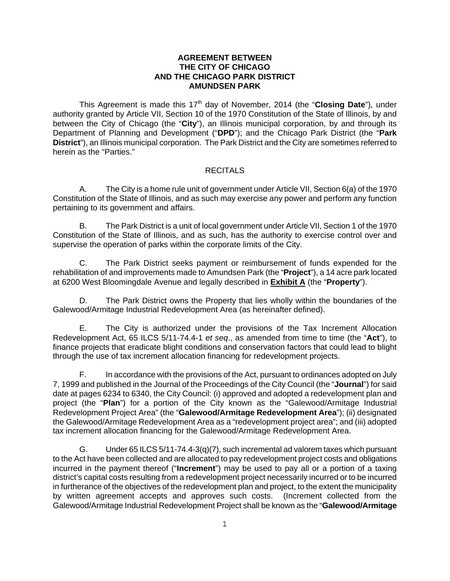#### **AGREEMENT BETWEEN THE CITY OF CHICAGO AND THE CHICAGO PARK DISTRICT AMUNDSEN PARK**

This Agreement is made this 17<sup>th</sup> day of November, 2014 (the "**Closing Date**"), under authority granted by Article VII, Section 10 of the 1970 Constitution of the State of Illinois, by and between the City of Chicago (the "**City**"), an Illinois municipal corporation, by and through its Department of Planning and Development ("**DPD**"); and the Chicago Park District (the "**Park District**"), an Illinois municipal corporation. The Park District and the City are sometimes referred to herein as the "Parties."

#### RECITALS

A. The City is a home rule unit of government under Article VII, Section 6(a) of the 1970 Constitution of the State of Illinois, and as such may exercise any power and perform any function pertaining to its government and affairs.

B. The Park District is a unit of local government under Article VII, Section 1 of the 1970 Constitution of the State of Illinois, and as such, has the authority to exercise control over and supervise the operation of parks within the corporate limits of the City.

C. The Park District seeks payment or reimbursement of funds expended for the rehabilitation of and improvements made to Amundsen Park (the "**Project**"), a 14 acre park located at 6200 West Bloomingdale Avenue and legally described in **Exhibit A** (the "**Property**").

D. The Park District owns the Property that lies wholly within the boundaries of the Galewood/Armitage Industrial Redevelopment Area (as hereinafter defined).

E. The City is authorized under the provisions of the Tax Increment Allocation Redevelopment Act, 65 ILCS 5/11-74.4-1 *et seq*., as amended from time to time (the "**Act**"), to finance projects that eradicate blight conditions and conservation factors that could lead to blight through the use of tax increment allocation financing for redevelopment projects.

F. In accordance with the provisions of the Act, pursuant to ordinances adopted on July 7, 1999 and published in the Journal of the Proceedings of the City Council (the "**Journal**") for said date at pages 6234 to 6340, the City Council: (i) approved and adopted a redevelopment plan and project (the "**Plan**") for a portion of the City known as the "Galewood/Armitage Industrial Redevelopment Project Area" (the "**Galewood/Armitage Redevelopment Area**"); (ii) designated the Galewood/Armitage Redevelopment Area as a "redevelopment project area"; and (iii) adopted tax increment allocation financing for the Galewood/Armitage Redevelopment Area.

G. Under 65 ILCS 5/11-74.4-3(q)(7), such incremental ad valorem taxes which pursuant to the Act have been collected and are allocated to pay redevelopment project costs and obligations incurred in the payment thereof ("**Increment**") may be used to pay all or a portion of a taxing district's capital costs resulting from a redevelopment project necessarily incurred or to be incurred in furtherance of the objectives of the redevelopment plan and project, to the extent the municipality by written agreement accepts and approves such costs. (Increment collected from the Galewood/Armitage Industrial Redevelopment Project shall be known as the "**Galewood/Armitage**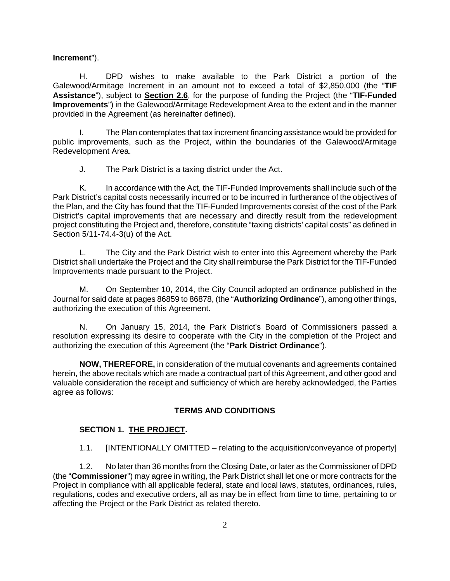**Increment**").

H. DPD wishes to make available to the Park District a portion of the Galewood/Armitage Increment in an amount not to exceed a total of \$2,850,000 (the "**TIF Assistance**"), subject to **Section 2.6**, for the purpose of funding the Project (the "**TIF-Funded Improvements**") in the Galewood/Armitage Redevelopment Area to the extent and in the manner provided in the Agreement (as hereinafter defined).

I. The Plan contemplates that tax increment financing assistance would be provided for public improvements, such as the Project, within the boundaries of the Galewood/Armitage Redevelopment Area.

J. The Park District is a taxing district under the Act.

K. In accordance with the Act, the TIF-Funded Improvements shall include such of the Park District's capital costs necessarily incurred or to be incurred in furtherance of the objectives of the Plan, and the City has found that the TIF-Funded Improvements consist of the cost of the Park District's capital improvements that are necessary and directly result from the redevelopment project constituting the Project and, therefore, constitute "taxing districts' capital costs" as defined in Section 5/11-74.4-3(u) of the Act.

 L. The City and the Park District wish to enter into this Agreement whereby the Park District shall undertake the Project and the City shall reimburse the Park District for the TIF-Funded Improvements made pursuant to the Project.

M. On September 10, 2014, the City Council adopted an ordinance published in the Journal for said date at pages 86859 to 86878, (the "**Authorizing Ordinance**"), among other things, authorizing the execution of this Agreement.

N. On January 15, 2014, the Park District's Board of Commissioners passed a resolution expressing its desire to cooperate with the City in the completion of the Project and authorizing the execution of this Agreement (the "**Park District Ordinance**").

**NOW, THEREFORE,** in consideration of the mutual covenants and agreements contained herein, the above recitals which are made a contractual part of this Agreement, and other good and valuable consideration the receipt and sufficiency of which are hereby acknowledged, the Parties agree as follows:

#### **TERMS AND CONDITIONS**

#### **SECTION 1. THE PROJECT.**

1.1. [INTENTIONALLY OMITTED – relating to the acquisition/conveyance of property]

1.2. No later than 36 months from the Closing Date, or later as the Commissioner of DPD (the "**Commissioner**") may agree in writing, the Park District shall let one or more contracts for the Project in compliance with all applicable federal, state and local laws, statutes, ordinances, rules, regulations, codes and executive orders, all as may be in effect from time to time, pertaining to or affecting the Project or the Park District as related thereto.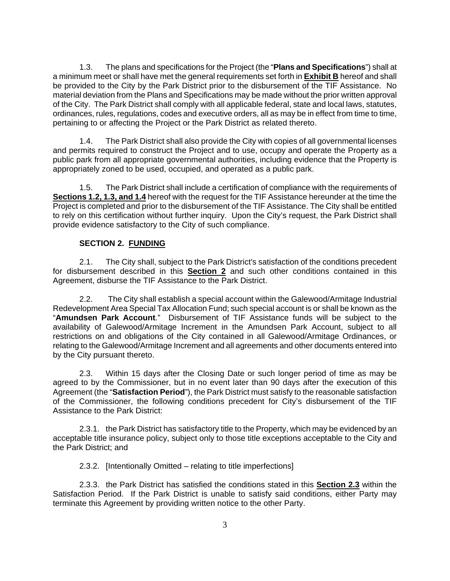1.3. The plans and specifications for the Project (the "**Plans and Specifications**") shall at a minimum meet or shall have met the general requirements set forth in **Exhibit B** hereof and shall be provided to the City by the Park District prior to the disbursement of the TIF Assistance. No material deviation from the Plans and Specifications may be made without the prior written approval of the City. The Park District shall comply with all applicable federal, state and local laws, statutes, ordinances, rules, regulations, codes and executive orders, all as may be in effect from time to time, pertaining to or affecting the Project or the Park District as related thereto.

1.4. The Park District shall also provide the City with copies of all governmental licenses and permits required to construct the Project and to use, occupy and operate the Property as a public park from all appropriate governmental authorities, including evidence that the Property is appropriately zoned to be used, occupied, and operated as a public park.

1.5. The Park District shall include a certification of compliance with the requirements of **Sections 1.2, 1.3, and 1.4** hereof with the request for the TIF Assistance hereunder at the time the Project is completed and prior to the disbursement of the TIF Assistance. The City shall be entitled to rely on this certification without further inquiry. Upon the City's request, the Park District shall provide evidence satisfactory to the City of such compliance.

## **SECTION 2. FUNDING**

2.1. The City shall, subject to the Park District's satisfaction of the conditions precedent for disbursement described in this **Section 2** and such other conditions contained in this Agreement, disburse the TIF Assistance to the Park District.

2.2. The City shall establish a special account within the Galewood/Armitage Industrial Redevelopment Area Special Tax Allocation Fund; such special account is or shall be known as the "**Amundsen Park Account**." Disbursement of TIF Assistance funds will be subject to the availability of Galewood/Armitage Increment in the Amundsen Park Account, subject to all restrictions on and obligations of the City contained in all Galewood/Armitage Ordinances, or relating to the Galewood/Armitage Increment and all agreements and other documents entered into by the City pursuant thereto.

2.3. Within 15 days after the Closing Date or such longer period of time as may be agreed to by the Commissioner, but in no event later than 90 days after the execution of this Agreement (the "**Satisfaction Period**"), the Park District must satisfy to the reasonable satisfaction of the Commissioner, the following conditions precedent for City's disbursement of the TIF Assistance to the Park District:

2.3.1. the Park District has satisfactory title to the Property, which may be evidenced by an acceptable title insurance policy, subject only to those title exceptions acceptable to the City and the Park District; and

2.3.2. [Intentionally Omitted – relating to title imperfections]

2.3.3. the Park District has satisfied the conditions stated in this **Section 2.3** within the Satisfaction Period. If the Park District is unable to satisfy said conditions, either Party may terminate this Agreement by providing written notice to the other Party.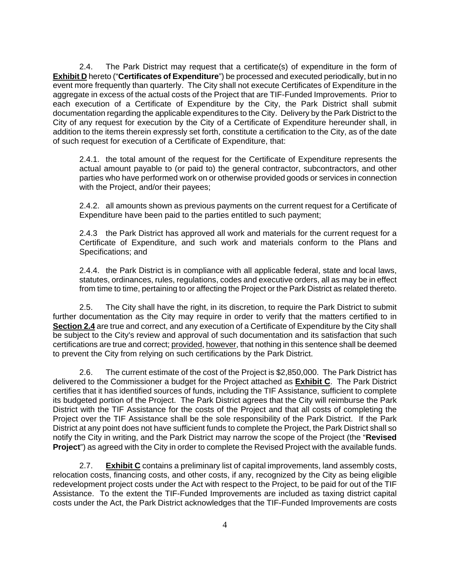2.4. The Park District may request that a certificate(s) of expenditure in the form of **Exhibit D** hereto ("**Certificates of Expenditure**") be processed and executed periodically, but in no event more frequently than quarterly. The City shall not execute Certificates of Expenditure in the aggregate in excess of the actual costs of the Project that are TIF-Funded Improvements. Prior to each execution of a Certificate of Expenditure by the City, the Park District shall submit documentation regarding the applicable expenditures to the City. Delivery by the Park District to the City of any request for execution by the City of a Certificate of Expenditure hereunder shall, in addition to the items therein expressly set forth, constitute a certification to the City, as of the date of such request for execution of a Certificate of Expenditure, that:

2.4.1. the total amount of the request for the Certificate of Expenditure represents the actual amount payable to (or paid to) the general contractor, subcontractors, and other parties who have performed work on or otherwise provided goods or services in connection with the Project, and/or their payees;

2.4.2. all amounts shown as previous payments on the current request for a Certificate of Expenditure have been paid to the parties entitled to such payment;

2.4.3 the Park District has approved all work and materials for the current request for a Certificate of Expenditure, and such work and materials conform to the Plans and Specifications; and

2.4.4. the Park District is in compliance with all applicable federal, state and local laws, statutes, ordinances, rules, regulations, codes and executive orders, all as may be in effect from time to time, pertaining to or affecting the Project or the Park District as related thereto.

2.5. The City shall have the right, in its discretion, to require the Park District to submit further documentation as the City may require in order to verify that the matters certified to in **Section 2.4** are true and correct, and any execution of a Certificate of Expenditure by the City shall be subject to the City's review and approval of such documentation and its satisfaction that such certifications are true and correct; provided, however, that nothing in this sentence shall be deemed to prevent the City from relying on such certifications by the Park District.

2.6. The current estimate of the cost of the Project is \$2,850,000. The Park District has delivered to the Commissioner a budget for the Project attached as **Exhibit C**. The Park District certifies that it has identified sources of funds, including the TIF Assistance, sufficient to complete its budgeted portion of the Project. The Park District agrees that the City will reimburse the Park District with the TIF Assistance for the costs of the Project and that all costs of completing the Project over the TIF Assistance shall be the sole responsibility of the Park District. If the Park District at any point does not have sufficient funds to complete the Project, the Park District shall so notify the City in writing, and the Park District may narrow the scope of the Project (the "**Revised Project**") as agreed with the City in order to complete the Revised Project with the available funds.

2.7. **Exhibit C** contains a preliminary list of capital improvements, land assembly costs, relocation costs, financing costs, and other costs, if any, recognized by the City as being eligible redevelopment project costs under the Act with respect to the Project, to be paid for out of the TIF Assistance. To the extent the TIF-Funded Improvements are included as taxing district capital costs under the Act, the Park District acknowledges that the TIF-Funded Improvements are costs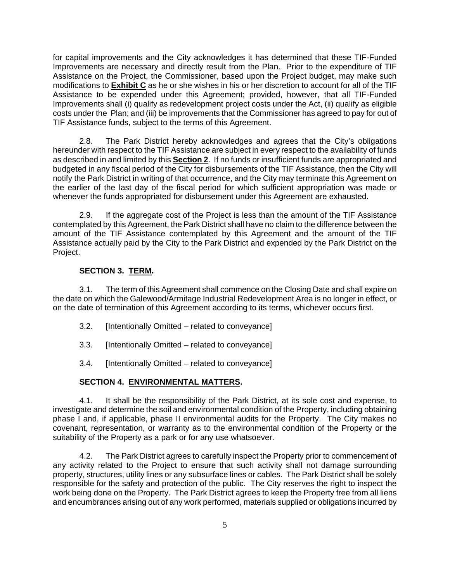for capital improvements and the City acknowledges it has determined that these TIF-Funded Improvements are necessary and directly result from the Plan. Prior to the expenditure of TIF Assistance on the Project, the Commissioner, based upon the Project budget, may make such modifications to **Exhibit C** as he or she wishes in his or her discretion to account for all of the TIF Assistance to be expended under this Agreement; provided, however, that all TIF-Funded Improvements shall (i) qualify as redevelopment project costs under the Act, (ii) qualify as eligible costs under the Plan; and (iii) be improvements that the Commissioner has agreed to pay for out of TIF Assistance funds, subject to the terms of this Agreement.

2.8. The Park District hereby acknowledges and agrees that the City's obligations hereunder with respect to the TIF Assistance are subject in every respect to the availability of funds as described in and limited by this **Section 2**. If no funds or insufficient funds are appropriated and budgeted in any fiscal period of the City for disbursements of the TIF Assistance, then the City will notify the Park District in writing of that occurrence, and the City may terminate this Agreement on the earlier of the last day of the fiscal period for which sufficient appropriation was made or whenever the funds appropriated for disbursement under this Agreement are exhausted.

2.9. If the aggregate cost of the Project is less than the amount of the TIF Assistance contemplated by this Agreement, the Park District shall have no claim to the difference between the amount of the TIF Assistance contemplated by this Agreement and the amount of the TIF Assistance actually paid by the City to the Park District and expended by the Park District on the Project.

## **SECTION 3. TERM.**

3.1. The term of this Agreement shall commence on the Closing Date and shall expire on the date on which the Galewood/Armitage Industrial Redevelopment Area is no longer in effect, or on the date of termination of this Agreement according to its terms, whichever occurs first.

- 3.2. [Intentionally Omitted related to conveyance]
- 3.3. [Intentionally Omitted related to conveyance]
- 3.4. [Intentionally Omitted related to conveyance]

## **SECTION 4. ENVIRONMENTAL MATTERS.**

4.1. It shall be the responsibility of the Park District, at its sole cost and expense, to investigate and determine the soil and environmental condition of the Property, including obtaining phase I and, if applicable, phase II environmental audits for the Property. The City makes no covenant, representation, or warranty as to the environmental condition of the Property or the suitability of the Property as a park or for any use whatsoever.

4.2. The Park District agrees to carefully inspect the Property prior to commencement of any activity related to the Project to ensure that such activity shall not damage surrounding property, structures, utility lines or any subsurface lines or cables. The Park District shall be solely responsible for the safety and protection of the public. The City reserves the right to inspect the work being done on the Property. The Park District agrees to keep the Property free from all liens and encumbrances arising out of any work performed, materials supplied or obligations incurred by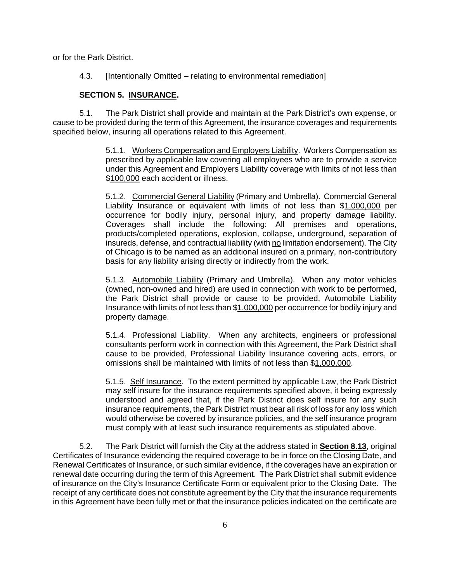or for the Park District.

4.3. [Intentionally Omitted – relating to environmental remediation]

## **SECTION 5. INSURANCE.**

5.1. The Park District shall provide and maintain at the Park District's own expense, or cause to be provided during the term of this Agreement, the insurance coverages and requirements specified below, insuring all operations related to this Agreement.

> 5.1.1. Workers Compensation and Employers Liability. Workers Compensation as prescribed by applicable law covering all employees who are to provide a service under this Agreement and Employers Liability coverage with limits of not less than \$100,000 each accident or illness.

> 5.1.2. Commercial General Liability (Primary and Umbrella). Commercial General Liability Insurance or equivalent with limits of not less than \$1,000,000 per occurrence for bodily injury, personal injury, and property damage liability. Coverages shall include the following: All premises and operations, products/completed operations, explosion, collapse, underground, separation of insureds, defense, and contractual liability (with no limitation endorsement). The City of Chicago is to be named as an additional insured on a primary, non-contributory basis for any liability arising directly or indirectly from the work.

> 5.1.3. Automobile Liability (Primary and Umbrella). When any motor vehicles (owned, non-owned and hired) are used in connection with work to be performed, the Park District shall provide or cause to be provided, Automobile Liability Insurance with limits of not less than \$1,000,000 per occurrence for bodily injury and property damage.

> 5.1.4. Professional Liability. When any architects, engineers or professional consultants perform work in connection with this Agreement, the Park District shall cause to be provided, Professional Liability Insurance covering acts, errors, or omissions shall be maintained with limits of not less than \$1,000,000.

> 5.1.5. Self Insurance. To the extent permitted by applicable Law, the Park District may self insure for the insurance requirements specified above, it being expressly understood and agreed that, if the Park District does self insure for any such insurance requirements, the Park District must bear all risk of loss for any loss which would otherwise be covered by insurance policies, and the self insurance program must comply with at least such insurance requirements as stipulated above.

5.2. The Park District will furnish the City at the address stated in **Section 8.13**, original Certificates of Insurance evidencing the required coverage to be in force on the Closing Date, and Renewal Certificates of Insurance, or such similar evidence, if the coverages have an expiration or renewal date occurring during the term of this Agreement. The Park District shall submit evidence of insurance on the City's Insurance Certificate Form or equivalent prior to the Closing Date. The receipt of any certificate does not constitute agreement by the City that the insurance requirements in this Agreement have been fully met or that the insurance policies indicated on the certificate are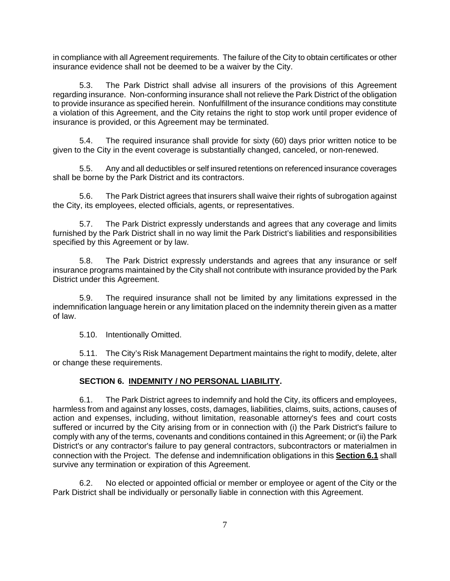in compliance with all Agreement requirements. The failure of the City to obtain certificates or other insurance evidence shall not be deemed to be a waiver by the City.

5.3. The Park District shall advise all insurers of the provisions of this Agreement regarding insurance. Non-conforming insurance shall not relieve the Park District of the obligation to provide insurance as specified herein. Nonfulfillment of the insurance conditions may constitute a violation of this Agreement, and the City retains the right to stop work until proper evidence of insurance is provided, or this Agreement may be terminated.

5.4. The required insurance shall provide for sixty (60) days prior written notice to be given to the City in the event coverage is substantially changed, canceled, or non-renewed.

5.5. Any and all deductibles or self insured retentions on referenced insurance coverages shall be borne by the Park District and its contractors.

5.6. The Park District agrees that insurers shall waive their rights of subrogation against the City, its employees, elected officials, agents, or representatives.

5.7. The Park District expressly understands and agrees that any coverage and limits furnished by the Park District shall in no way limit the Park District's liabilities and responsibilities specified by this Agreement or by law.

5.8. The Park District expressly understands and agrees that any insurance or self insurance programs maintained by the City shall not contribute with insurance provided by the Park District under this Agreement.

5.9. The required insurance shall not be limited by any limitations expressed in the indemnification language herein or any limitation placed on the indemnity therein given as a matter of law.

5.10. Intentionally Omitted.

5.11. The City's Risk Management Department maintains the right to modify, delete, alter or change these requirements.

## **SECTION 6. INDEMNITY / NO PERSONAL LIABILITY.**

6.1. The Park District agrees to indemnify and hold the City, its officers and employees, harmless from and against any losses, costs, damages, liabilities, claims, suits, actions, causes of action and expenses, including, without limitation, reasonable attorney's fees and court costs suffered or incurred by the City arising from or in connection with (i) the Park District's failure to comply with any of the terms, covenants and conditions contained in this Agreement; or (ii) the Park District's or any contractor's failure to pay general contractors, subcontractors or materialmen in connection with the Project. The defense and indemnification obligations in this **Section 6.1** shall survive any termination or expiration of this Agreement.

6.2. No elected or appointed official or member or employee or agent of the City or the Park District shall be individually or personally liable in connection with this Agreement.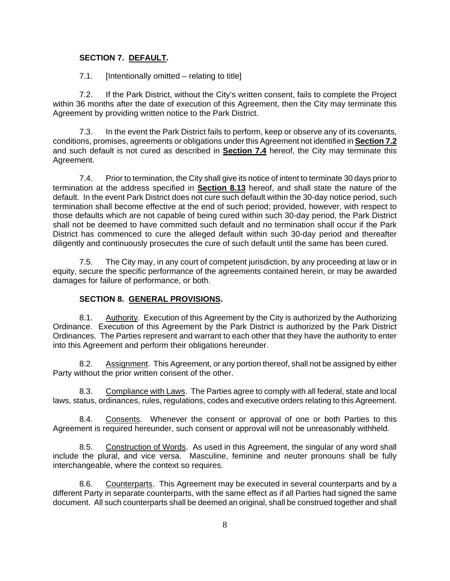## **SECTION 7. DEFAULT.**

7.1. [Intentionally omitted – relating to title]

7.2. If the Park District, without the City's written consent, fails to complete the Project within 36 months after the date of execution of this Agreement, then the City may terminate this Agreement by providing written notice to the Park District.

7.3. In the event the Park District fails to perform, keep or observe any of its covenants, conditions, promises, agreements or obligations under this Agreement not identified in **Section 7.2** and such default is not cured as described in **Section 7.4** hereof, the City may terminate this Agreement.

7.4. Prior to termination, the City shall give its notice of intent to terminate 30 days prior to termination at the address specified in **Section 8.13** hereof, and shall state the nature of the default. In the event Park District does not cure such default within the 30-day notice period, such termination shall become effective at the end of such period; provided, however, with respect to those defaults which are not capable of being cured within such 30-day period, the Park District shall not be deemed to have committed such default and no termination shall occur if the Park District has commenced to cure the alleged default within such 30-day period and thereafter diligently and continuously prosecutes the cure of such default until the same has been cured.

7.5. The City may, in any court of competent jurisdiction, by any proceeding at law or in equity, secure the specific performance of the agreements contained herein, or may be awarded damages for failure of performance, or both.

## **SECTION 8. GENERAL PROVISIONS.**

8.1. Authority. Execution of this Agreement by the City is authorized by the Authorizing Ordinance. Execution of this Agreement by the Park District is authorized by the Park District Ordinances. The Parties represent and warrant to each other that they have the authority to enter into this Agreement and perform their obligations hereunder.

8.2. Assignment. This Agreement, or any portion thereof, shall not be assigned by either Party without the prior written consent of the other.

8.3. Compliance with Laws. The Parties agree to comply with all federal, state and local laws, status, ordinances, rules, regulations, codes and executive orders relating to this Agreement.

8.4. Consents. Whenever the consent or approval of one or both Parties to this Agreement is required hereunder, such consent or approval will not be unreasonably withheld.

8.5. Construction of Words. As used in this Agreement, the singular of any word shall include the plural, and vice versa. Masculine, feminine and neuter pronouns shall be fully interchangeable, where the context so requires.

8.6. Counterparts. This Agreement may be executed in several counterparts and by a different Party in separate counterparts, with the same effect as if all Parties had signed the same document. All such counterparts shall be deemed an original, shall be construed together and shall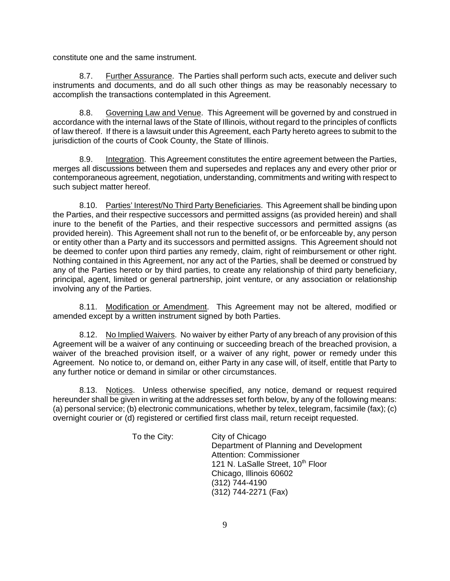constitute one and the same instrument.

8.7. Further Assurance. The Parties shall perform such acts, execute and deliver such instruments and documents, and do all such other things as may be reasonably necessary to accomplish the transactions contemplated in this Agreement.

8.8. Governing Law and Venue. This Agreement will be governed by and construed in accordance with the internal laws of the State of Illinois, without regard to the principles of conflicts of law thereof. If there is a lawsuit under this Agreement, each Party hereto agrees to submit to the jurisdiction of the courts of Cook County, the State of Illinois.

8.9. Integration. This Agreement constitutes the entire agreement between the Parties, merges all discussions between them and supersedes and replaces any and every other prior or contemporaneous agreement, negotiation, understanding, commitments and writing with respect to such subject matter hereof.

8.10. Parties' Interest/No Third Party Beneficiaries. This Agreement shall be binding upon the Parties, and their respective successors and permitted assigns (as provided herein) and shall inure to the benefit of the Parties, and their respective successors and permitted assigns (as provided herein). This Agreement shall not run to the benefit of, or be enforceable by, any person or entity other than a Party and its successors and permitted assigns. This Agreement should not be deemed to confer upon third parties any remedy, claim, right of reimbursement or other right. Nothing contained in this Agreement, nor any act of the Parties, shall be deemed or construed by any of the Parties hereto or by third parties, to create any relationship of third party beneficiary, principal, agent, limited or general partnership, joint venture, or any association or relationship involving any of the Parties.

8.11. Modification or Amendment. This Agreement may not be altered, modified or amended except by a written instrument signed by both Parties.

8.12. No Implied Waivers. No waiver by either Party of any breach of any provision of this Agreement will be a waiver of any continuing or succeeding breach of the breached provision, a waiver of the breached provision itself, or a waiver of any right, power or remedy under this Agreement. No notice to, or demand on, either Party in any case will, of itself, entitle that Party to any further notice or demand in similar or other circumstances.

8.13. Notices. Unless otherwise specified, any notice, demand or request required hereunder shall be given in writing at the addresses set forth below, by any of the following means: (a) personal service; (b) electronic communications, whether by telex, telegram, facsimile (fax); (c) overnight courier or (d) registered or certified first class mail, return receipt requested.

> To the City: City of Chicago Department of Planning and Development Attention: Commissioner 121 N. LaSalle Street, 10<sup>th</sup> Floor Chicago, Illinois 60602 (312) 744-4190 (312) 744-2271 (Fax)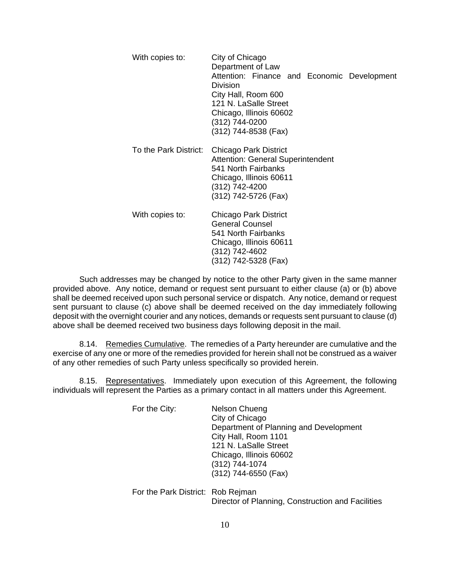| With copies to:       | City of Chicago<br>Department of Law<br>Attention: Finance and Economic Development<br>Division<br>City Hall, Room 600<br>121 N. LaSalle Street<br>Chicago, Illinois 60602<br>(312) 744-0200<br>(312) 744-8538 (Fax) |
|-----------------------|----------------------------------------------------------------------------------------------------------------------------------------------------------------------------------------------------------------------|
| To the Park District: | Chicago Park District<br><b>Attention: General Superintendent</b><br>541 North Fairbanks<br>Chicago, Illinois 60611<br>(312) 742-4200<br>(312) 742-5726 (Fax)                                                        |
| With copies to:       | Chicago Park District<br><b>General Counsel</b><br>541 North Fairbanks<br>Chicago, Illinois 60611<br>(312) 742-4602<br>(312) 742-5328 (Fax)                                                                          |

Such addresses may be changed by notice to the other Party given in the same manner provided above. Any notice, demand or request sent pursuant to either clause (a) or (b) above shall be deemed received upon such personal service or dispatch. Any notice, demand or request sent pursuant to clause (c) above shall be deemed received on the day immediately following deposit with the overnight courier and any notices, demands or requests sent pursuant to clause (d) above shall be deemed received two business days following deposit in the mail.

8.14. Remedies Cumulative. The remedies of a Party hereunder are cumulative and the exercise of any one or more of the remedies provided for herein shall not be construed as a waiver of any other remedies of such Party unless specifically so provided herein.

8.15. Representatives. Immediately upon execution of this Agreement, the following individuals will represent the Parties as a primary contact in all matters under this Agreement.

| For the City: | Nelson Chueng                          |
|---------------|----------------------------------------|
|               | City of Chicago                        |
|               | Department of Planning and Development |
|               | City Hall, Room 1101                   |
|               | 121 N. LaSalle Street                  |
|               | Chicago, Illinois 60602                |
|               | (312) 744-1074                         |
|               | (312) 744-6550 (Fax)                   |
|               |                                        |
|               |                                        |

For the Park District: Rob Rejman Director of Planning, Construction and Facilities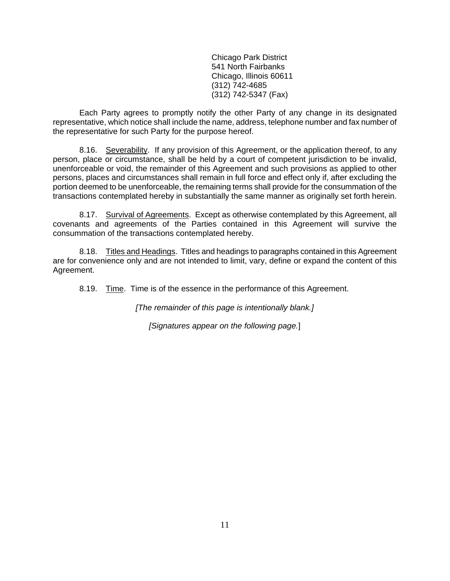Chicago Park District 541 North Fairbanks Chicago, Illinois 60611 (312) 742-4685 (312) 742-5347 (Fax)

Each Party agrees to promptly notify the other Party of any change in its designated representative, which notice shall include the name, address, telephone number and fax number of the representative for such Party for the purpose hereof.

8.16. Severability. If any provision of this Agreement, or the application thereof, to any person, place or circumstance, shall be held by a court of competent jurisdiction to be invalid, unenforceable or void, the remainder of this Agreement and such provisions as applied to other persons, places and circumstances shall remain in full force and effect only if, after excluding the portion deemed to be unenforceable, the remaining terms shall provide for the consummation of the transactions contemplated hereby in substantially the same manner as originally set forth herein.

8.17. Survival of Agreements. Except as otherwise contemplated by this Agreement, all covenants and agreements of the Parties contained in this Agreement will survive the consummation of the transactions contemplated hereby.

8.18. Titles and Headings. Titles and headings to paragraphs contained in this Agreement are for convenience only and are not intended to limit, vary, define or expand the content of this Agreement.

8.19. Time. Time is of the essence in the performance of this Agreement.

*[The remainder of this page is intentionally blank.]* 

*[Signatures appear on the following page.*]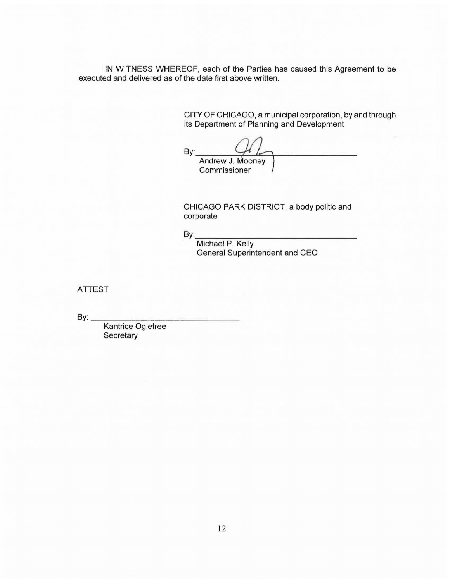IN WITNESS WHEREOF, each of the Parties has caused this Agreement to be executed and delivered as of the date first above written.

> CITY OF CHICAGO, a municipal corporation, by and through its Department of Planning and Development

By:  $Q_1$ 

Andrew J. Mooney<br>Commissioner

CHICAGO PARK DISTRICT, a body politic and corporate

By: \_\_\_\_\_\_\_\_\_\_\_\_\_\_ \_

Michael P. Kelly General Superintendent and CEO

ATTEST

 $\mathsf{B}\mathsf{v}$ :

Kantrice Ogletree **Secretary**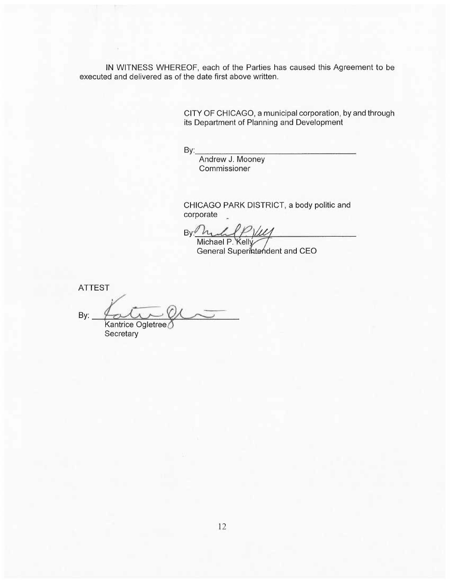IN WITNESS WHEREOF, each of the Parties has caused this Agreement to be executed and delivered as of the date first above written.

> CITY OF CHICAGO, a municipal corporation, by and through its Department of Planning and Development

By: \_\_\_\_\_\_\_\_\_\_\_\_\_\_\_ \_

Andrew J. Mooney Commissioner

CHICAGO PARK DISTRICT, a body politic and corporate \_

oorporate<br>By: <u>Manual P Yule</u><br>Michael P. Kelly<br>General Superintendent and CEO

ATTEST

By: Kantrice Ogletree

Secretary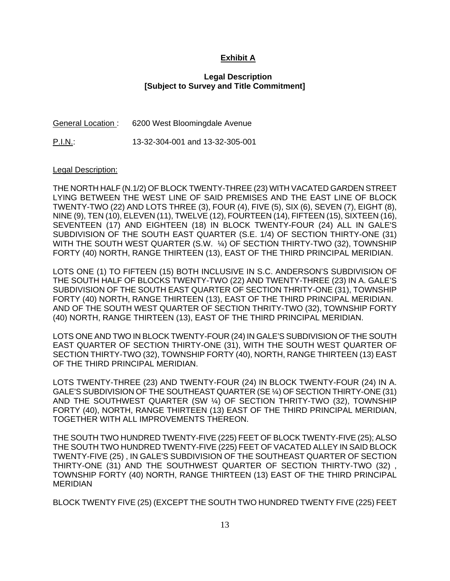## **Exhibit A**

#### **Legal Description [Subject to Survey and Title Commitment]**

General Location : 6200 West Bloomingdale Avenue

P.I.N.: 13-32-304-001 and 13-32-305-001

#### Legal Description:

THE NORTH HALF (N.1/2) OF BLOCK TWENTY-THREE (23) WITH VACATED GARDEN STREET LYING BETWEEN THE WEST LINE OF SAID PREMISES AND THE EAST LINE OF BLOCK TWENTY-TWO (22) AND LOTS THREE (3), FOUR (4), FIVE (5), SIX (6), SEVEN (7), EIGHT (8), NINE (9), TEN (10), ELEVEN (11), TWELVE (12), FOURTEEN (14), FIFTEEN (15), SIXTEEN (16), SEVENTEEN (17) AND EIGHTEEN (18) IN BLOCK TWENTY-FOUR (24) ALL IN GALE'S SUBDIVISION OF THE SOUTH EAST QUARTER (S.E. 1/4) OF SECTION THIRTY-ONE (31) WITH THE SOUTH WEST QUARTER (S.W.  $\frac{1}{4}$ ) OF SECTION THIRTY-TWO (32), TOWNSHIP FORTY (40) NORTH, RANGE THIRTEEN (13), EAST OF THE THIRD PRINCIPAL MERIDIAN.

LOTS ONE (1) TO FIFTEEN (15) BOTH INCLUSIVE IN S.C. ANDERSON'S SUBDIVISION OF THE SOUTH HALF OF BLOCKS TWENTY-TWO (22) AND TWENTY-THREE (23) IN A. GALE'S SUBDIVISION OF THE SOUTH EAST QUARTER OF SECTION THRITY-ONE (31), TOWNSHIP FORTY (40) NORTH, RANGE THIRTEEN (13), EAST OF THE THIRD PRINCIPAL MERIDIAN. AND OF THE SOUTH WEST QUARTER OF SECTION THRITY-TWO (32), TOWNSHIP FORTY (40) NORTH, RANGE THIRTEEN (13), EAST OF THE THIRD PRINCIPAL MERIDIAN.

LOTS ONE AND TWO IN BLOCK TWENTY-FOUR (24) IN GALE'S SUBDIVISION OF THE SOUTH EAST QUARTER OF SECTION THIRTY-ONE (31), WITH THE SOUTH WEST QUARTER OF SECTION THIRTY-TWO (32), TOWNSHIP FORTY (40), NORTH, RANGE THIRTEEN (13) EAST OF THE THIRD PRINCIPAL MERIDIAN.

LOTS TWENTY-THREE (23) AND TWENTY-FOUR (24) IN BLOCK TWENTY-FOUR (24) IN A. GALE'S SUBDIVISION OF THE SOUTHEAST QUARTER (SE ¼) OF SECTION THIRTY-ONE (31) AND THE SOUTHWEST QUARTER (SW ¼) OF SECTION THRITY-TWO (32), TOWNSHIP FORTY (40), NORTH, RANGE THIRTEEN (13) EAST OF THE THIRD PRINCIPAL MERIDIAN, TOGETHER WITH ALL IMPROVEMENTS THEREON.

THE SOUTH TWO HUNDRED TWENTY-FIVE (225) FEET OF BLOCK TWENTY-FIVE (25); ALSO THE SOUTH TWO HUNDRED TWENTY-FIVE (225) FEET OF VACATED ALLEY IN SAID BLOCK TWENTY-FIVE (25) , IN GALE'S SUBDIVISION OF THE SOUTHEAST QUARTER OF SECTION THIRTY-ONE (31) AND THE SOUTHWEST QUARTER OF SECTION THIRTY-TWO (32) , TOWNSHIP FORTY (40) NORTH, RANGE THIRTEEN (13) EAST OF THE THIRD PRINCIPAL MERIDIAN

BLOCK TWENTY FIVE (25) (EXCEPT THE SOUTH TWO HUNDRED TWENTY FIVE (225) FEET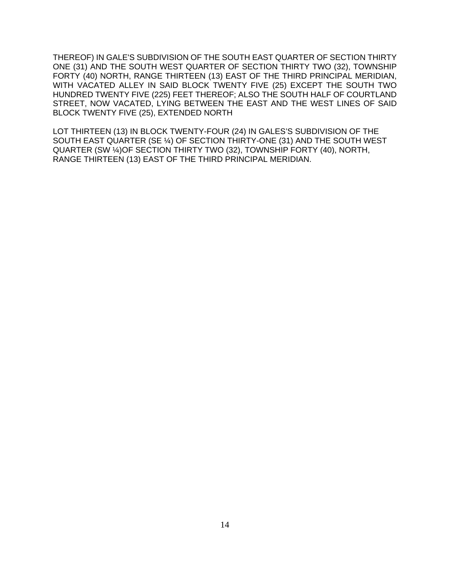THEREOF) IN GALE'S SUBDIVISION OF THE SOUTH EAST QUARTER OF SECTION THIRTY ONE (31) AND THE SOUTH WEST QUARTER OF SECTION THIRTY TWO (32), TOWNSHIP FORTY (40) NORTH, RANGE THIRTEEN (13) EAST OF THE THIRD PRINCIPAL MERIDIAN, WITH VACATED ALLEY IN SAID BLOCK TWENTY FIVE (25) EXCEPT THE SOUTH TWO HUNDRED TWENTY FIVE (225) FEET THEREOF; ALSO THE SOUTH HALF OF COURTLAND STREET, NOW VACATED, LYING BETWEEN THE EAST AND THE WEST LINES OF SAID BLOCK TWENTY FIVE (25), EXTENDED NORTH

LOT THIRTEEN (13) IN BLOCK TWENTY-FOUR (24) IN GALES'S SUBDIVISION OF THE SOUTH EAST QUARTER (SE ¼) OF SECTION THIRTY-ONE (31) AND THE SOUTH WEST QUARTER (SW ¼)OF SECTION THIRTY TWO (32), TOWNSHIP FORTY (40), NORTH, RANGE THIRTEEN (13) EAST OF THE THIRD PRINCIPAL MERIDIAN.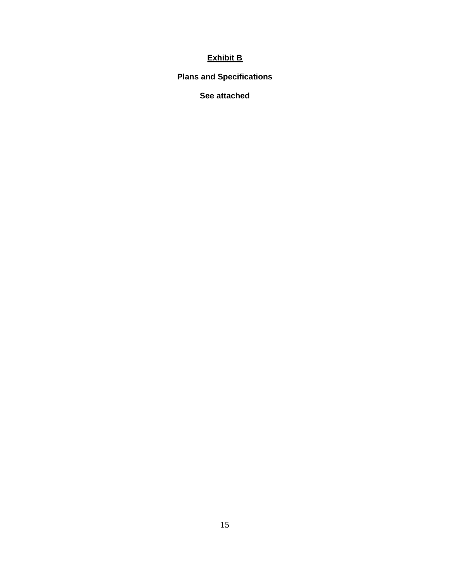# **Exhibit B**

## **Plans and Specifications**

## **See attached**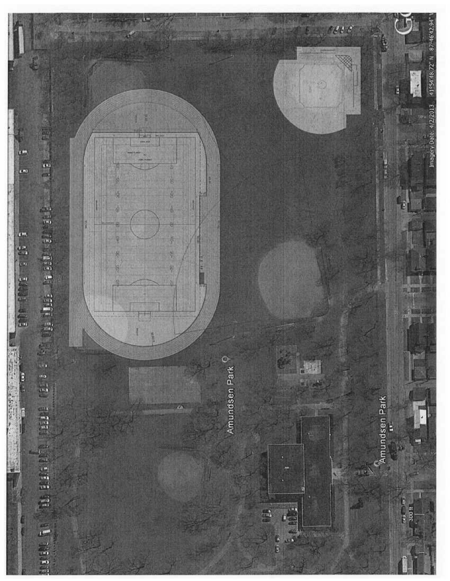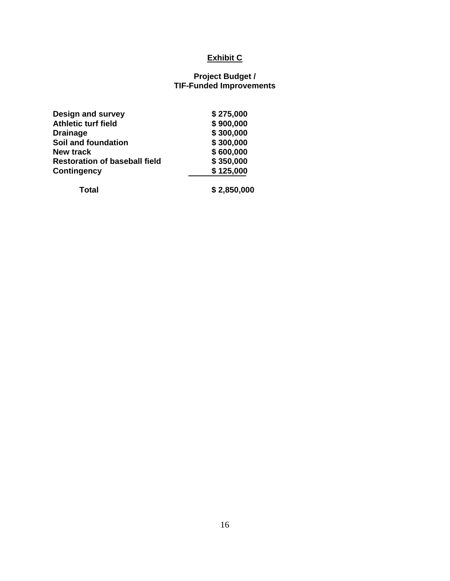# **Exhibit C**

#### **Project Budget / TIF-Funded Improvements**

| <b>Design and survey</b>             | \$275,000 |
|--------------------------------------|-----------|
| <b>Athletic turf field</b>           | \$900,000 |
| <b>Drainage</b>                      | \$300,000 |
| Soil and foundation                  | \$300,000 |
| <b>New track</b>                     | \$600,000 |
| <b>Restoration of baseball field</b> | \$350,000 |
| <b>Contingency</b>                   | \$125,000 |
|                                      |           |

 **Total \$ 2,850,000**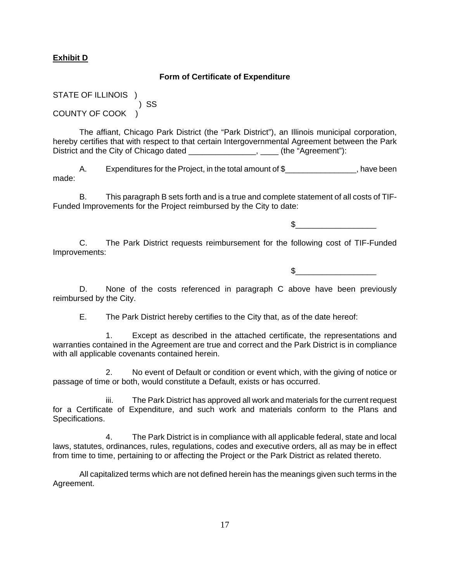## **Exhibit D**

#### **Form of Certificate of Expenditure**

STATE OF ILLINOIS ) ) SS COUNTY OF COOK )

The affiant, Chicago Park District (the "Park District"), an Illinois municipal corporation, hereby certifies that with respect to that certain Intergovernmental Agreement between the Park District and the City of Chicago dated \_\_\_\_\_\_\_\_\_\_\_\_\_\_\_, \_\_\_\_\_ (the "Agreement"):

A. Expenditures for the Project, in the total amount of \$ The Superson Review of the Review of Superson Review of the Expenditures for the Project, in the total amount of \$ made:

B. This paragraph B sets forth and is a true and complete statement of all costs of TIF-Funded Improvements for the Project reimbursed by the City to date:

 $\mathbb S$ 

C. The Park District requests reimbursement for the following cost of TIF-Funded Improvements:

 $\mathfrak s$ 

D. None of the costs referenced in paragraph C above have been previously reimbursed by the City.

E. The Park District hereby certifies to the City that, as of the date hereof:

1. Except as described in the attached certificate, the representations and warranties contained in the Agreement are true and correct and the Park District is in compliance with all applicable covenants contained herein.

2. No event of Default or condition or event which, with the giving of notice or passage of time or both, would constitute a Default, exists or has occurred.

iii. The Park District has approved all work and materials for the current request for a Certificate of Expenditure, and such work and materials conform to the Plans and Specifications.

4. The Park District is in compliance with all applicable federal, state and local laws, statutes, ordinances, rules, regulations, codes and executive orders, all as may be in effect from time to time, pertaining to or affecting the Project or the Park District as related thereto.

All capitalized terms which are not defined herein has the meanings given such terms in the Agreement.